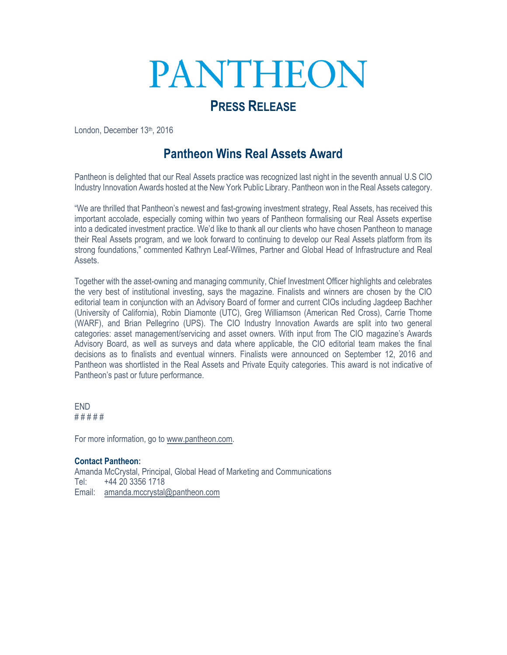# PANTHEON

## **PRESS RELEASE**

London, December 13th, 2016

### **Pantheon Wins Real Assets Award**

Pantheon is delighted that our Real Assets practice was recognized last night in the seventh annual U.S CIO Industry Innovation Awards hosted at the New York Public Library. Pantheon won in the Real Assets category.

"We are thrilled that Pantheon's newest and fast-growing investment strategy, Real Assets, has received this important accolade, especially coming within two years of Pantheon formalising our Real Assets expertise into a dedicated investment practice. We'd like to thank all our clients who have chosen Pantheon to manage their Real Assets program, and we look forward to continuing to develop our Real Assets platform from its strong foundations," commented Kathryn Leaf-Wilmes, Partner and Global Head of Infrastructure and Real Assets.

Together with the asset-owning and managing community, Chief Investment Officer highlights and celebrates the very best of institutional investing, says the magazine. Finalists and winners are chosen by the CIO editorial team in conjunction with an Advisory Board of former and current CIOs including Jagdeep Bachher (University of California), Robin Diamonte (UTC), Greg Williamson (American Red Cross), Carrie Thome (WARF), and Brian Pellegrino (UPS). The CIO Industry Innovation Awards are split into two general categories: asset management/servicing and asset owners. With input from The CIO magazine's Awards Advisory Board, as well as surveys and data where applicable, the CIO editorial team makes the final decisions as to finalists and eventual winners. Finalists were announced on September 12, 2016 and Pantheon was shortlisted in the Real Assets and Private Equity categories. This award is not indicative of Pantheon's past or future performance.

END # # # # #

For more information, go to [www.pantheon.com.](http://www.pantheon.com/)

#### **Contact Pantheon:**

Amanda McCrystal, Principal, Global Head of Marketing and Communications Tel: +44 20 3356 1718 Email: [amanda.mccrystal@pantheon.com](mailto:amanda.mccrystal@pantheon.com)